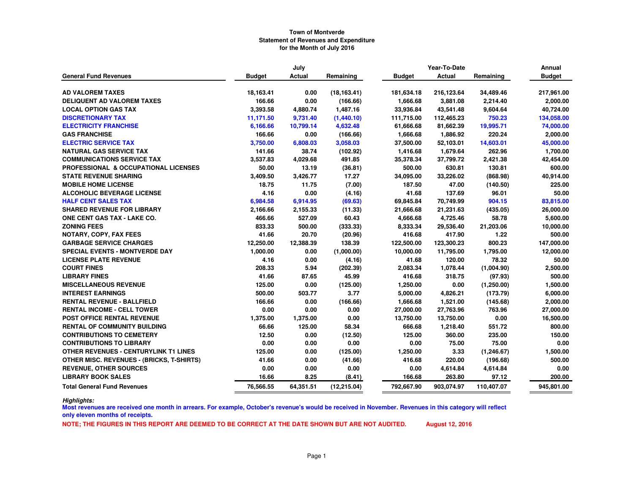|                                                  |               | July      |              |               | Year-To-Date  |             | Annual        |
|--------------------------------------------------|---------------|-----------|--------------|---------------|---------------|-------------|---------------|
| <b>General Fund Revenues</b>                     | <b>Budget</b> | Actual    | Remaining    | <b>Budget</b> | <b>Actual</b> | Remaining   | <b>Budget</b> |
|                                                  |               |           |              |               |               |             |               |
| <b>AD VALOREM TAXES</b>                          | 18,163.41     | 0.00      | (18, 163.41) | 181,634.18    | 216,123.64    | 34,489.46   | 217,961.00    |
| <b>DELIQUENT AD VALOREM TAXES</b>                | 166.66        | 0.00      | (166.66)     | 1,666.68      | 3,881.08      | 2,214.40    | 2,000.00      |
| <b>LOCAL OPTION GAS TAX</b>                      | 3,393.58      | 4,880.74  | 1,487.16     | 33,936.84     | 43,541.48     | 9,604.64    | 40,724.00     |
| <b>DISCRETIONARY TAX</b>                         | 11,171.50     | 9,731.40  | (1,440.10)   | 111,715.00    | 112,465.23    | 750.23      | 134,058.00    |
| <b>ELECTRICITY FRANCHISE</b>                     | 6,166.66      | 10,799.14 | 4,632.48     | 61,666.68     | 81,662.39     | 19,995.71   | 74,000.00     |
| <b>GAS FRANCHISE</b>                             | 166.66        | 0.00      | (166.66)     | 1,666.68      | 1,886.92      | 220.24      | 2,000.00      |
| <b>ELECTRIC SERVICE TAX</b>                      | 3,750.00      | 6,808.03  | 3,058.03     | 37,500.00     | 52,103.01     | 14,603.01   | 45,000.00     |
| <b>NATURAL GAS SERVICE TAX</b>                   | 141.66        | 38.74     | (102.92)     | 1,416.68      | 1,679.64      | 262.96      | 1,700.00      |
| <b>COMMUNICATIONS SERVICE TAX</b>                | 3,537.83      | 4,029.68  | 491.85       | 35,378.34     | 37,799.72     | 2,421.38    | 42,454.00     |
| PROFESSIONAL & OCCUPATIONAL LICENSES             | 50.00         | 13.19     | (36.81)      | 500.00        | 630.81        | 130.81      | 600.00        |
| <b>STATE REVENUE SHARING</b>                     | 3,409.50      | 3,426.77  | 17.27        | 34,095.00     | 33,226.02     | (868.98)    | 40,914.00     |
| <b>MOBILE HOME LICENSE</b>                       | 18.75         | 11.75     | (7.00)       | 187.50        | 47.00         | (140.50)    | 225.00        |
| <b>ALCOHOLIC BEVERAGE LICENSE</b>                | 4.16          | 0.00      | (4.16)       | 41.68         | 137.69        | 96.01       | 50.00         |
| <b>HALF CENT SALES TAX</b>                       | 6,984.58      | 6,914.95  | (69.63)      | 69,845.84     | 70,749.99     | 904.15      | 83,815.00     |
| <b>SHARED REVENUE FOR LIBRARY</b>                | 2,166.66      | 2,155.33  | (11.33)      | 21,666.68     | 21,231.63     | (435.05)    | 26,000.00     |
| ONE CENT GAS TAX - LAKE CO.                      | 466.66        | 527.09    | 60.43        | 4,666.68      | 4,725.46      | 58.78       | 5,600.00      |
| <b>ZONING FEES</b>                               | 833.33        | 500.00    | (333.33)     | 8,333.34      | 29,536.40     | 21,203.06   | 10,000.00     |
| NOTARY, COPY, FAX FEES                           | 41.66         | 20.70     | (20.96)      | 416.68        | 417.90        | 1.22        | 500.00        |
| <b>GARBAGE SERVICE CHARGES</b>                   | 12,250.00     | 12,388.39 | 138.39       | 122,500.00    | 123,300.23    | 800.23      | 147,000.00    |
| <b>SPECIAL EVENTS - MONTVERDE DAY</b>            | 1,000.00      | 0.00      | (1,000.00)   | 10,000.00     | 11,795.00     | 1,795.00    | 12,000.00     |
| <b>LICENSE PLATE REVENUE</b>                     | 4.16          | 0.00      | (4.16)       | 41.68         | 120.00        | 78.32       | 50.00         |
| <b>COURT FINES</b>                               | 208.33        | 5.94      | (202.39)     | 2,083.34      | 1,078.44      | (1,004.90)  | 2,500.00      |
| <b>LIBRARY FINES</b>                             | 41.66         | 87.65     | 45.99        | 416.68        | 318.75        | (97.93)     | 500.00        |
| <b>MISCELLANEOUS REVENUE</b>                     | 125.00        | 0.00      | (125.00)     | 1,250.00      | 0.00          | (1,250.00)  | 1,500.00      |
| <b>INTEREST EARNINGS</b>                         | 500.00        | 503.77    | 3.77         | 5,000.00      | 4,826.21      | (173.79)    | 6,000.00      |
| <b>RENTAL REVENUE - BALLFIELD</b>                | 166.66        | 0.00      | (166.66)     | 1,666.68      | 1,521.00      | (145.68)    | 2,000.00      |
| <b>RENTAL INCOME - CELL TOWER</b>                | 0.00          | 0.00      | 0.00         | 27,000.00     | 27,763.96     | 763.96      | 27,000.00     |
| POST OFFICE RENTAL REVENUE                       | 1,375.00      | 1,375.00  | 0.00         | 13,750.00     | 13,750.00     | 0.00        | 16,500.00     |
| <b>RENTAL OF COMMUNITY BUILDING</b>              | 66.66         | 125.00    | 58.34        | 666.68        | 1,218.40      | 551.72      | 800.00        |
| <b>CONTRIBUTIONS TO CEMETERY</b>                 | 12.50         | 0.00      | (12.50)      | 125.00        | 360.00        | 235.00      | 150.00        |
| <b>CONTRIBUTIONS TO LIBRARY</b>                  | 0.00          | 0.00      | 0.00         | 0.00          | 75.00         | 75.00       | 0.00          |
| <b>OTHER REVENUES - CENTURYLINK T1 LINES</b>     | 125.00        | 0.00      | (125.00)     | 1,250.00      | 3.33          | (1, 246.67) | 1,500.00      |
| <b>OTHER MISC. REVENUES - (BRICKS, T-SHIRTS)</b> | 41.66         | 0.00      | (41.66)      | 416.68        | 220.00        | (196.68)    | 500.00        |
| <b>REVENUE, OTHER SOURCES</b>                    | 0.00          | 0.00      | 0.00         | 0.00          | 4,614.84      | 4,614.84    | 0.00          |
| <b>LIBRARY BOOK SALES</b>                        | 16.66         | 8.25      | (8.41)       | 166.68        | 263.80        | 97.12       | 200.00        |
| <b>Total General Fund Revenues</b>               | 76,566.55     | 64,351.51 | (12, 215.04) | 792,667.90    | 903,074.97    | 110,407.07  | 945,801.00    |

*Highlights:*

 **Most revenues are received one month in arrears. For example, October's revenue's would be received in November. Revenues in this category will reflect only eleven months of receipts.**

**NOTE; THE FIGURES IN THIS REPORT ARE DEEMED TO BE CORRECT AT THE DATE SHOWN BUT ARE NOT AUDITED. August 12, 2016**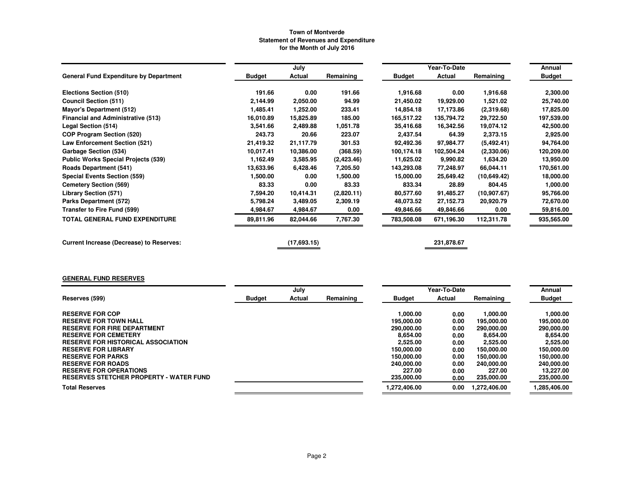|                                                 |               | July        |            |               | Year-To-Date |              | Annual        |
|-------------------------------------------------|---------------|-------------|------------|---------------|--------------|--------------|---------------|
| <b>General Fund Expenditure by Department</b>   | <b>Budget</b> | Actual      | Remaining  | <b>Budget</b> | Actual       | Remaining    | <b>Budget</b> |
| Elections Section (510)                         | 191.66        | 0.00        | 191.66     | 1,916.68      | 0.00         | 1,916.68     | 2,300.00      |
| <b>Council Section (511)</b>                    | 2,144.99      | 2,050.00    | 94.99      | 21,450.02     | 19,929.00    | 1,521.02     | 25,740.00     |
| <b>Mayor's Department (512)</b>                 | 1,485.41      | 1,252.00    | 233.41     | 14,854.18     | 17,173.86    | (2,319.68)   | 17,825.00     |
| <b>Financial and Administrative (513)</b>       | 16.010.89     | 15,825.89   | 185.00     | 165,517.22    | 135,794.72   | 29,722.50    | 197,539.00    |
| Legal Section (514)                             | 3,541.66      | 2,489.88    | 1,051.78   | 35,416.68     | 16,342.56    | 19,074.12    | 42,500.00     |
| <b>COP Program Section (520)</b>                | 243.73        | 20.66       | 223.07     | 2,437.54      | 64.39        | 2,373.15     | 2,925.00      |
| Law Enforcement Section (521)                   | 21,419.32     | 21,117.79   | 301.53     | 92,492.36     | 97,984.77    | (5,492.41)   | 94,764.00     |
| Garbage Section (534)                           | 10.017.41     | 10,386.00   | (368.59)   | 100,174.18    | 102,504.24   | (2,330.06)   | 120,209.00    |
| <b>Public Works Special Projects (539)</b>      | 1,162.49      | 3,585.95    | (2,423.46) | 11,625.02     | 9,990.82     | 1,634.20     | 13,950.00     |
| <b>Roads Department (541)</b>                   | 13,633.96     | 6,428.46    | 7,205.50   | 143,293.08    | 77,248.97    | 66,044.11    | 170,561.00    |
| <b>Special Events Section (559)</b>             | 1,500.00      | 0.00        | 1,500.00   | 15,000.00     | 25,649.42    | (10,649.42)  | 18,000.00     |
| <b>Cemetery Section (569)</b>                   | 83.33         | 0.00        | 83.33      | 833.34        | 28.89        | 804.45       | 1,000.00      |
| <b>Library Section (571)</b>                    | 7,594.20      | 10,414.31   | (2,820.11) | 80,577.60     | 91,485.27    | (10, 907.67) | 95,766.00     |
| Parks Department (572)                          | 5,798.24      | 3,489.05    | 2,309.19   | 48,073.52     | 27,152.73    | 20,920.79    | 72,670.00     |
| Transfer to Fire Fund (599)                     | 4,984.67      | 4,984.67    | 0.00       | 49,846.66     | 49,846.66    | 0.00         | 59,816.00     |
| <b>TOTAL GENERAL FUND EXPENDITURE</b>           | 89,811.96     | 82,044.66   | 7,767.30   | 783,508.08    | 671,196.30   | 112,311.78   | 935,565.00    |
| <b>Current Increase (Decrease) to Reserves:</b> |               | (17,693.15) |            |               | 231,878.67   |              |               |

# **GENERAL FUND RESERVES**

|                                                |               | July   |           |               | Year-To-Date |              | Annual        |
|------------------------------------------------|---------------|--------|-----------|---------------|--------------|--------------|---------------|
| Reserves (599)                                 | <b>Budget</b> | Actual | Remaining | <b>Budget</b> | Actual       | Remaining    | <b>Budget</b> |
|                                                |               |        |           |               |              |              |               |
| <b>RESERVE FOR COP</b>                         |               |        |           | 1.000.00      | 0.00         | 1.000.00     | 1.000.00      |
| <b>RESERVE FOR TOWN HALL</b>                   |               |        |           | 195,000.00    | 0.00         | 195,000.00   | 195,000.00    |
| <b>RESERVE FOR FIRE DEPARTMENT</b>             |               |        |           | 290,000,00    | 0.00         | 290,000.00   | 290,000.00    |
| <b>RESERVE FOR CEMETERY</b>                    |               |        |           | 8.654.00      | 0.00         | 8.654.00     | 8.654.00      |
| <b>RESERVE FOR HISTORICAL ASSOCIATION</b>      |               |        |           | 2.525.00      | 0.00         | 2,525.00     | 2,525.00      |
| <b>RESERVE FOR LIBRARY</b>                     |               |        |           | 150.000.00    | 0.00         | 150,000,00   | 150.000.00    |
| <b>RESERVE FOR PARKS</b>                       |               |        |           | 150.000.00    | 0.00         | 150,000,00   | 150.000.00    |
| <b>RESERVE FOR ROADS</b>                       |               |        |           | 240,000.00    | 0.00         | 240,000,00   | 240.000.00    |
| <b>RESERVE FOR OPERATIONS</b>                  |               |        |           | 227.00        | 0.00         | 227.00       | 13.227.00     |
| <b>RESERVES STETCHER PROPERTY - WATER FUND</b> |               |        |           | 235,000.00    | 0.00         | 235,000.00   | 235,000.00    |
| <b>Total Reserves</b>                          |               |        |           | 1.272.406.00  | 0.00         | 1.272.406.00 | 1,285,406.00  |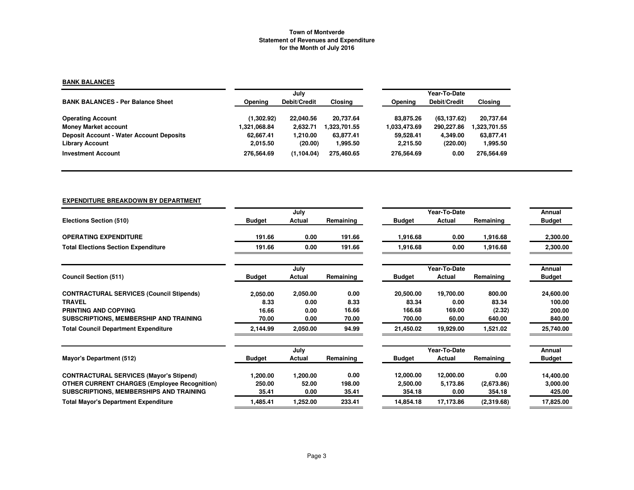## **BANK BALANCES**

|                                                 |              | July         |              | Year-To-Date |              |               |  |  |
|-------------------------------------------------|--------------|--------------|--------------|--------------|--------------|---------------|--|--|
| <b>BANK BALANCES - Per Balance Sheet</b>        | Opening      | Debit/Credit | Closing      | Opening      | Debit/Credit | Closing       |  |  |
| <b>Operating Account</b>                        | (1,302.92)   | 22,040.56    | 20.737.64    | 83.875.26    | (63, 137.62) | 20,737.64     |  |  |
| <b>Money Market account</b>                     | 1,321,068.84 | 2,632.71     | 1,323,701.55 | 1,033,473.69 | 290.227.86   | 323,701.55. ا |  |  |
| <b>Deposit Account - Water Account Deposits</b> | 62.667.41    | 1.210.00     | 63.877.41    | 59.528.41    | 4.349.00     | 63.877.41     |  |  |
| <b>Library Account</b>                          | 2,015.50     | (20.00)      | 1,995.50     | 2.215.50     | (220.00)     | 1,995.50      |  |  |
| <b>Investment Account</b>                       | 276.564.69   | (1, 104.04)  | 275.460.65   | 276,564.69   | 0.00         | 276,564.69    |  |  |

# **EXPENDITURE BREAKDOWN BY DEPARTMENT**

|                                                     |               | July     |           |               | Year-To-Date |            | Annual        |
|-----------------------------------------------------|---------------|----------|-----------|---------------|--------------|------------|---------------|
| Elections Section (510)                             | <b>Budget</b> | Actual   | Remaining | <b>Budget</b> | Actual       | Remaining  | <b>Budget</b> |
| <b>OPERATING EXPENDITURE</b>                        | 191.66        | 0.00     | 191.66    | 1,916.68      | 0.00         | 1,916.68   | 2,300.00      |
| <b>Total Elections Section Expenditure</b>          | 191.66        | 0.00     | 191.66    | 1,916.68      | 0.00         | 1,916.68   | 2,300.00      |
|                                                     |               | July     |           |               | Year-To-Date |            | Annual        |
| <b>Council Section (511)</b>                        | <b>Budget</b> | Actual   | Remaining | <b>Budget</b> | Actual       | Remaining  | <b>Budget</b> |
| <b>CONTRACTURAL SERVICES (Council Stipends)</b>     | 2,050.00      | 2,050.00 | 0.00      | 20,500.00     | 19,700.00    | 800.00     | 24,600.00     |
| <b>TRAVEL</b>                                       | 8.33          | 0.00     | 8.33      | 83.34         | 0.00         | 83.34      | 100.00        |
| PRINTING AND COPYING                                | 16.66         | 0.00     | 16.66     | 166.68        | 169.00       | (2.32)     | 200.00        |
| SUBSCRIPTIONS, MEMBERSHIP AND TRAINING              | 70.00         | 0.00     | 70.00     | 700.00        | 60.00        | 640.00     | 840.00        |
| <b>Total Council Department Expenditure</b>         | 2,144.99      | 2,050.00 | 94.99     | 21,450.02     | 19,929.00    | 1,521.02   | 25,740.00     |
|                                                     |               | July     |           |               | Year-To-Date |            | Annual        |
| Mayor's Department (512)                            | <b>Budget</b> | Actual   | Remaining | <b>Budget</b> | Actual       | Remaining  | <b>Budget</b> |
| <b>CONTRACTURAL SERVICES (Mayor's Stipend)</b>      | 1,200.00      | 1,200.00 | 0.00      | 12,000.00     | 12,000.00    | 0.00       | 14,400.00     |
| <b>OTHER CURRENT CHARGES (Employee Recognition)</b> | 250.00        | 52.00    | 198.00    | 2,500.00      | 5,173.86     | (2,673.86) | 3,000.00      |
| SUBSCRIPTIONS, MEMBERSHIPS AND TRAINING             | 35.41         | 0.00     | 35.41     | 354.18        | 0.00         | 354.18     | 425.00        |
| <b>Total Mayor's Department Expenditure</b>         | 1,485.41      | 1,252.00 | 233.41    | 14,854.18     | 17,173.86    | (2,319.68) | 17,825.00     |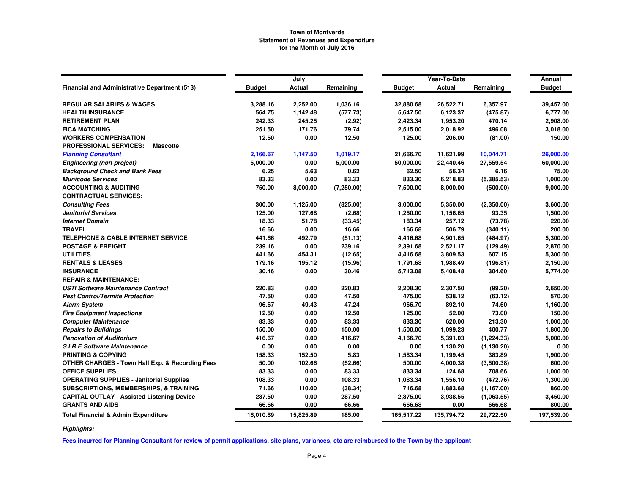|                                                            |               | July          |            |               | Year-To-Date  |             | Annual        |
|------------------------------------------------------------|---------------|---------------|------------|---------------|---------------|-------------|---------------|
| <b>Financial and Administrative Department (513)</b>       | <b>Budget</b> | <b>Actual</b> | Remaining  | <b>Budget</b> | <b>Actual</b> | Remaining   | <b>Budget</b> |
| <b>REGULAR SALARIES &amp; WAGES</b>                        | 3,288.16      | 2,252.00      | 1,036.16   | 32,880.68     | 26,522.71     | 6,357.97    | 39,457.00     |
| <b>HEALTH INSURANCE</b>                                    | 564.75        | 1,142.48      | (577.73)   | 5,647.50      | 6,123.37      | (475.87)    | 6,777.00      |
| <b>RETIREMENT PLAN</b>                                     | 242.33        | 245.25        | (2.92)     | 2,423.34      | 1,953.20      | 470.14      | 2,908.00      |
| <b>FICA MATCHING</b>                                       | 251.50        | 171.76        | 79.74      | 2,515.00      | 2,018.92      | 496.08      | 3,018.00      |
| <b>WORKERS COMPENSATION</b>                                | 12.50         | 0.00          | 12.50      | 125.00        | 206.00        | (81.00)     | 150.00        |
| <b>PROFESSIONAL SERVICES:</b><br><b>Mascotte</b>           |               |               |            |               |               |             |               |
| <b>Planning Consultant</b>                                 | 2,166.67      | 1,147.50      | 1,019.17   | 21,666.70     | 11,621.99     | 10,044.71   | 26,000.00     |
| <b>Engineering (non-project)</b>                           | 5,000.00      | 0.00          | 5,000.00   | 50,000.00     | 22,440.46     | 27,559.54   | 60,000.00     |
| <b>Background Check and Bank Fees</b>                      | 6.25          | 5.63          | 0.62       | 62.50         | 56.34         | 6.16        | 75.00         |
| <b>Municode Services</b>                                   | 83.33         | 0.00          | 83.33      | 833.30        | 6,218.83      | (5, 385.53) | 1,000.00      |
| <b>ACCOUNTING &amp; AUDITING</b>                           | 750.00        | 8,000.00      | (7,250.00) | 7,500.00      | 8,000.00      | (500.00)    | 9,000.00      |
| <b>CONTRACTUAL SERVICES:</b>                               |               |               |            |               |               |             |               |
| <b>Consulting Fees</b>                                     | 300.00        | 1,125.00      | (825.00)   | 3,000.00      | 5,350.00      | (2,350.00)  | 3,600.00      |
| <b>Janitorial Services</b>                                 | 125.00        | 127.68        | (2.68)     | 1,250.00      | 1,156.65      | 93.35       | 1,500.00      |
| <b>Internet Domain</b>                                     | 18.33         | 51.78         | (33.45)    | 183.34        | 257.12        | (73.78)     | 220.00        |
| <b>TRAVEL</b>                                              | 16.66         | 0.00          | 16.66      | 166.68        | 506.79        | (340.11)    | 200.00        |
| <b>TELEPHONE &amp; CABLE INTERNET SERVICE</b>              | 441.66        | 492.79        | (51.13)    | 4,416.68      | 4,901.65      | (484.97)    | 5,300.00      |
| <b>POSTAGE &amp; FREIGHT</b>                               | 239.16        | 0.00          | 239.16     | 2,391.68      | 2,521.17      | (129.49)    | 2,870.00      |
| <b>UTILITIES</b>                                           | 441.66        | 454.31        | (12.65)    | 4,416.68      | 3,809.53      | 607.15      | 5,300.00      |
| <b>RENTALS &amp; LEASES</b>                                | 179.16        | 195.12        | (15.96)    | 1,791.68      | 1,988.49      | (196.81)    | 2,150.00      |
| <b>INSURANCE</b>                                           | 30.46         | 0.00          | 30.46      | 5,713.08      | 5,408.48      | 304.60      | 5,774.00      |
| <b>REPAIR &amp; MAINTENANCE:</b>                           |               |               |            |               |               |             |               |
| <b>USTI Software Maintenance Contract</b>                  | 220.83        | 0.00          | 220.83     | 2,208.30      | 2,307.50      | (99.20)     | 2,650.00      |
| <b>Pest Control/Termite Protection</b>                     | 47.50         | 0.00          | 47.50      | 475.00        | 538.12        | (63.12)     | 570.00        |
| <b>Alarm System</b>                                        | 96.67         | 49.43         | 47.24      | 966.70        | 892.10        | 74.60       | 1,160.00      |
| <b>Fire Equipment Inspections</b>                          | 12.50         | 0.00          | 12.50      | 125.00        | 52.00         | 73.00       | 150.00        |
| <b>Computer Maintenance</b>                                | 83.33         | 0.00          | 83.33      | 833.30        | 620.00        | 213.30      | 1,000.00      |
| <b>Repairs to Buildings</b>                                | 150.00        | 0.00          | 150.00     | 1,500.00      | 1,099.23      | 400.77      | 1,800.00      |
| <b>Renovation of Auditorium</b>                            | 416.67        | 0.00          | 416.67     | 4,166.70      | 5,391.03      | (1, 224.33) | 5,000.00      |
| <b>S.I.R.E Software Maintenance</b>                        | 0.00          | 0.00          | 0.00       | 0.00          | 1,130.20      | (1, 130.20) | 0.00          |
| <b>PRINTING &amp; COPYING</b>                              | 158.33        | 152.50        | 5.83       | 1,583.34      | 1,199.45      | 383.89      | 1,900.00      |
| <b>OTHER CHARGES - Town Hall Exp. &amp; Recording Fees</b> | 50.00         | 102.66        | (52.66)    | 500.00        | 4,000.38      | (3,500.38)  | 600.00        |
| <b>OFFICE SUPPLIES</b>                                     | 83.33         | 0.00          | 83.33      | 833.34        | 124.68        | 708.66      | 1,000.00      |
| <b>OPERATING SUPPLIES - Janitorial Supplies</b>            | 108.33        | 0.00          | 108.33     | 1,083.34      | 1,556.10      | (472.76)    | 1,300.00      |
| SUBSCRIPTIONS, MEMBERSHIPS, & TRAINING                     | 71.66         | 110.00        | (38.34)    | 716.68        | 1,883.68      | (1, 167.00) | 860.00        |
| <b>CAPITAL OUTLAY - Assisted Listening Device</b>          | 287.50        | 0.00          | 287.50     | 2,875.00      | 3,938.55      | (1,063.55)  | 3,450.00      |
| <b>GRANTS AND AIDS</b>                                     | 66.66         | 0.00          | 66.66      | 666.68        | 0.00          | 666.68      | 800.00        |
| <b>Total Financial &amp; Admin Expenditure</b>             | 16,010.89     | 15,825.89     | 185.00     | 165.517.22    | 135,794.72    | 29,722.50   | 197,539.00    |

*Highlights:*

**Fees incurred for Planning Consultant for review of permit applications, site plans, variances, etc are reimbursed to the Town by the applicant**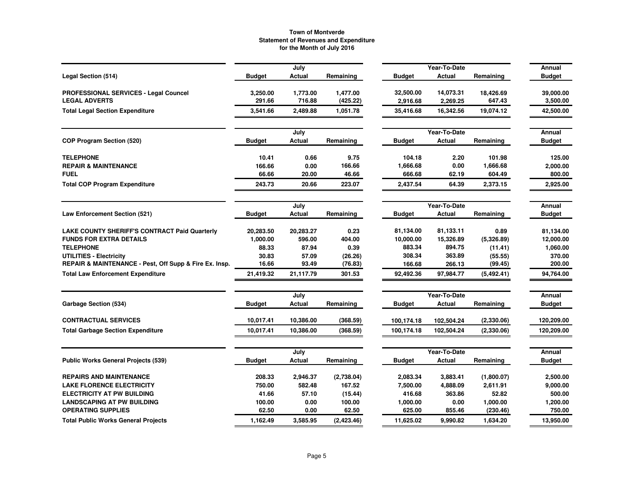|                                                        |               | July      |             |               | Year-To-Date |            |               |
|--------------------------------------------------------|---------------|-----------|-------------|---------------|--------------|------------|---------------|
|                                                        |               |           |             |               |              |            | Annual        |
| Legal Section (514)                                    | <b>Budget</b> | Actual    | Remaining   | <b>Budget</b> | Actual       | Remaining  | <b>Budget</b> |
| PROFESSIONAL SERVICES - Legal Councel                  | 3,250.00      | 1,773.00  | 1,477.00    | 32,500.00     | 14.073.31    | 18,426.69  | 39,000.00     |
| <b>LEGAL ADVERTS</b>                                   | 291.66        | 716.88    | (425.22)    | 2,916.68      | 2,269.25     | 647.43     | 3,500.00      |
| <b>Total Legal Section Expenditure</b>                 | 3,541.66      | 2,489.88  | 1,051.78    | 35,416.68     | 16,342.56    | 19,074.12  | 42,500.00     |
|                                                        |               | July      |             |               | Year-To-Date |            | Annual        |
| COP Program Section (520)                              | <b>Budget</b> | Actual    | Remaining   | <b>Budget</b> | Actual       | Remaining  | <b>Budget</b> |
| <b>TELEPHONE</b>                                       | 10.41         | 0.66      | 9.75        | 104.18        | 2.20         | 101.98     | 125.00        |
| <b>REPAIR &amp; MAINTENANCE</b>                        | 166.66        | 0.00      | 166.66      | 1,666.68      | 0.00         | 1,666.68   | 2,000.00      |
| <b>FUEL</b>                                            | 66.66         | 20.00     | 46.66       | 666.68        | 62.19        | 604.49     | 800.00        |
| <b>Total COP Program Expenditure</b>                   | 243.73        | 20.66     | 223.07      | 2,437.54      | 64.39        | 2,373.15   | 2,925.00      |
|                                                        |               | July      |             |               | Year-To-Date |            | Annual        |
| <b>Law Enforcement Section (521)</b>                   | <b>Budget</b> | Actual    | Remaining   | <b>Budget</b> | Actual       | Remaining  | <b>Budget</b> |
| <b>LAKE COUNTY SHERIFF'S CONTRACT Paid Quarterly</b>   | 20,283.50     | 20,283.27 | 0.23        | 81,134.00     | 81,133.11    | 0.89       | 81,134.00     |
| <b>FUNDS FOR EXTRA DETAILS</b>                         | 1,000.00      | 596.00    | 404.00      | 10,000.00     | 15,326.89    | (5,326.89) | 12,000.00     |
| <b>TELEPHONE</b>                                       | 88.33         | 87.94     | 0.39        | 883.34        | 894.75       | (11.41)    | 1,060.00      |
| <b>UTILITIES - Electricity</b>                         | 30.83         | 57.09     | (26.26)     | 308.34        | 363.89       | (55.55)    | 370.00        |
| REPAIR & MAINTENANCE - Pest, Off Supp & Fire Ex. Insp. | 16.66         | 93.49     | (76.83)     | 166.68        | 266.13       | (99.45)    | 200.00        |
| <b>Total Law Enforcement Expenditure</b>               | 21,419.32     | 21,117.79 | 301.53      | 92,492.36     | 97,984.77    | (5,492.41) | 94,764.00     |
|                                                        |               | July      |             |               | Year-To-Date |            | Annual        |
| Garbage Section (534)                                  | <b>Budget</b> | Actual    | Remaining   | <b>Budget</b> | Actual       | Remaining  | <b>Budget</b> |
| <b>CONTRACTUAL SERVICES</b>                            | 10,017.41     | 10,386.00 | (368.59)    | 100,174.18    | 102,504.24   | (2,330.06) | 120,209.00    |
| <b>Total Garbage Section Expenditure</b>               | 10,017.41     | 10,386.00 | (368.59)    | 100,174.18    | 102,504.24   | (2,330.06) | 120,209.00    |
|                                                        |               |           |             |               |              |            |               |
|                                                        |               | July      |             |               | Year-To-Date |            | Annual        |
| <b>Public Works General Projects (539)</b>             | <b>Budget</b> | Actual    | Remaining   | <b>Budget</b> | Actual       | Remaining  | <b>Budget</b> |
| <b>REPAIRS AND MAINTENANCE</b>                         | 208.33        | 2,946.37  | (2,738.04)  | 2,083.34      | 3,883.41     | (1,800.07) | 2,500.00      |
| <b>LAKE FLORENCE ELECTRICITY</b>                       | 750.00        | 582.48    | 167.52      | 7,500.00      | 4,888.09     | 2,611.91   | 9,000.00      |
| <b>ELECTRICITY AT PW BUILDING</b>                      | 41.66         | 57.10     | (15.44)     | 416.68        | 363.86       | 52.82      | 500.00        |
| <b>LANDSCAPING AT PW BUILDING</b>                      | 100.00        | 0.00      | 100.00      | 1,000.00      | 0.00         | 1,000.00   | 1,200.00      |
| <b>OPERATING SUPPLIES</b>                              | 62.50         | 0.00      | 62.50       | 625.00        | 855.46       | (230.46)   | 750.00        |
| <b>Total Public Works General Projects</b>             | 1,162.49      | 3,585.95  | (2, 423.46) | 11,625.02     | 9,990.82     | 1.634.20   | 13,950.00     |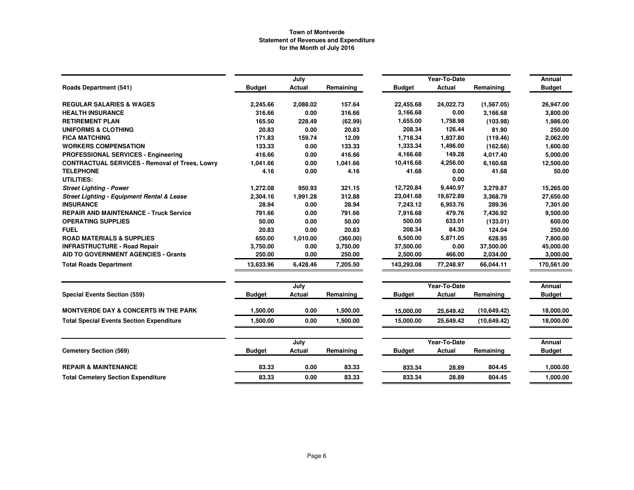|                                                       |               | July     |           |               | Year-To-Date  |             | Annual        |
|-------------------------------------------------------|---------------|----------|-----------|---------------|---------------|-------------|---------------|
| <b>Roads Department (541)</b>                         | <b>Budget</b> | Actual   | Remaining | <b>Budget</b> | Actual        | Remaining   | <b>Budget</b> |
| <b>REGULAR SALARIES &amp; WAGES</b>                   | 2,245.66      | 2,088.02 | 157.64    | 22,455.68     | 24,022.73     | (1,567.05)  | 26,947.00     |
| <b>HEALTH INSURANCE</b>                               | 316.66        | 0.00     | 316.66    | 3,166.68      | 0.00          | 3,166.68    | 3,800.00      |
| <b>RETIREMENT PLAN</b>                                | 165.50        | 228.49   | (62.99)   | 1,655.00      | 1,758.98      | (103.98)    | 1,986.00      |
| <b>UNIFORMS &amp; CLOTHING</b>                        | 20.83         | 0.00     | 20.83     | 208.34        | 126.44        | 81.90       | 250.00        |
| <b>FICA MATCHING</b>                                  | 171.83        | 159.74   | 12.09     | 1,718.34      | 1,837.80      | (119.46)    | 2,062.00      |
| <b>WORKERS COMPENSATION</b>                           | 133.33        | 0.00     | 133.33    | 1,333.34      | 1,496.00      | (162.66)    | 1,600.00      |
| PROFESSIONAL SERVICES - Engineering                   | 416.66        | 0.00     | 416.66    | 4,166.68      | 149.28        | 4,017.40    | 5,000.00      |
| <b>CONTRACTUAL SERVICES - Removal of Trees, Lowry</b> | 1,041.66      | 0.00     | 1,041.66  | 10,416.68     | 4,256.00      | 6,160.68    | 12,500.00     |
| <b>TELEPHONE</b>                                      | 4.16          | 0.00     | 4.16      | 41.68         | 0.00          | 41.68       | 50.00         |
| UTILITIES:                                            |               |          |           |               | 0.00          |             |               |
| <b>Street Lighting - Power</b>                        | 1,272.08      | 950.93   | 321.15    | 12,720.84     | 9,440.97      | 3,279.87    | 15,265.00     |
| <b>Street Lighting - Equipment Rental &amp; Lease</b> | 2,304.16      | 1,991.28 | 312.88    | 23,041.68     | 19,672.89     | 3,368.79    | 27,650.00     |
| <b>INSURANCE</b>                                      | 28.94         | 0.00     | 28.94     | 7,243.12      | 6,953.76      | 289.36      | 7,301.00      |
| <b>REPAIR AND MAINTENANCE - Truck Service</b>         | 791.66        | 0.00     | 791.66    | 7,916.68      | 479.76        | 7,436.92    | 9,500.00      |
| <b>OPERATING SUPPLIES</b>                             | 50.00         | 0.00     | 50.00     | 500.00        | 633.01        | (133.01)    | 600.00        |
| <b>FUEL</b>                                           | 20.83         | 0.00     | 20.83     | 208.34        | 84.30         | 124.04      | 250.00        |
| <b>ROAD MATERIALS &amp; SUPPLIES</b>                  | 650.00        | 1,010.00 | (360.00)  | 6,500.00      | 5,871.05      | 628.95      | 7,800.00      |
| <b>INFRASTRUCTURE - Road Repair</b>                   | 3,750.00      | 0.00     | 3,750.00  | 37,500.00     | 0.00          | 37,500.00   | 45,000.00     |
| <b>AID TO GOVERNMENT AGENCIES - Grants</b>            | 250.00        | 0.00     | 250.00    | 2,500.00      | 466.00        | 2,034.00    | 3,000.00      |
| <b>Total Roads Department</b>                         | 13.633.96     | 6,428.46 | 7,205.50  | 143.293.08    | 77,248.97     | 66,044.11   | 170,561.00    |
|                                                       |               | July     |           |               | Year-To-Date  |             | Annual        |
| <b>Special Events Section (559)</b>                   | <b>Budget</b> | Actual   | Remaining | <b>Budget</b> | <b>Actual</b> | Remaining   | <b>Budget</b> |
| <b>MONTVERDE DAY &amp; CONCERTS IN THE PARK</b>       | 1.500.00      | 0.00     | 1,500.00  | 15,000.00     | 25,649.42     | (10,649.42) | 18,000.00     |
| <b>Total Special Events Section Expenditure</b>       | 1,500.00      | 0.00     | 1,500.00  | 15,000.00     | 25,649.42     | (10,649.42) | 18,000.00     |
|                                                       |               | July     |           |               | Year-To-Date  |             | Annual        |
| <b>Cemetery Section (569)</b>                         | <b>Budget</b> | Actual   | Remaining | <b>Budget</b> | <b>Actual</b> | Remaining   | <b>Budget</b> |
|                                                       |               |          |           |               |               |             |               |
| <b>REPAIR &amp; MAINTENANCE</b>                       | 83.33         | 0.00     | 83.33     | 833.34        | 28.89         | 804.45      | 1,000.00      |
| <b>Total Cemetery Section Expenditure</b>             | 83.33         | 0.00     | 83.33     | 833.34        | 28.89         | 804.45      | 1,000.00      |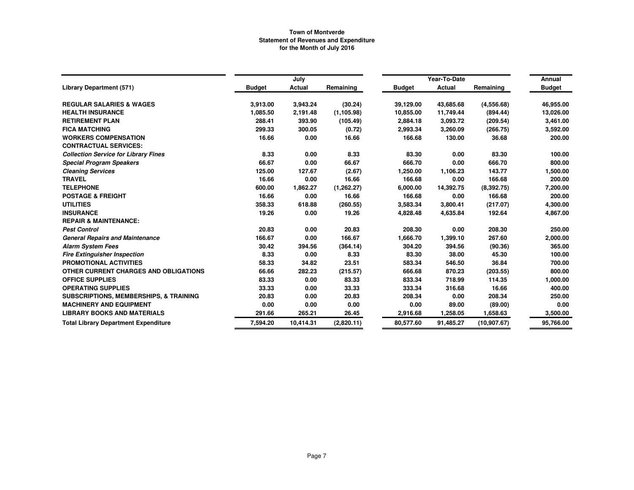|                                                   |               | July          |             |               | Year-To-Date  |              | Annual        |
|---------------------------------------------------|---------------|---------------|-------------|---------------|---------------|--------------|---------------|
| <b>Library Department (571)</b>                   | <b>Budget</b> | <b>Actual</b> | Remaining   | <b>Budget</b> | <b>Actual</b> | Remaining    | <b>Budget</b> |
| <b>REGULAR SALARIES &amp; WAGES</b>               | 3,913.00      | 3,943.24      | (30.24)     | 39,129.00     | 43,685.68     | (4,556.68)   | 46,955.00     |
| <b>HEALTH INSURANCE</b>                           | 1,085.50      | 2,191.48      | (1, 105.98) | 10,855.00     | 11,749.44     | (894.44)     | 13,026.00     |
| <b>RETIREMENT PLAN</b>                            | 288.41        | 393.90        | (105.49)    | 2,884.18      | 3,093.72      | (209.54)     | 3,461.00      |
| <b>FICA MATCHING</b>                              | 299.33        | 300.05        | (0.72)      | 2,993.34      | 3,260.09      | (266.75)     | 3,592.00      |
| <b>WORKERS COMPENSATION</b>                       | 16.66         | 0.00          | 16.66       | 166.68        | 130.00        | 36.68        | 200.00        |
| <b>CONTRACTUAL SERVICES:</b>                      |               |               |             |               |               |              |               |
| <b>Collection Service for Library Fines</b>       | 8.33          | 0.00          | 8.33        | 83.30         | 0.00          | 83.30        | 100.00        |
| <b>Special Program Speakers</b>                   | 66.67         | 0.00          | 66.67       | 666.70        | 0.00          | 666.70       | 800.00        |
| <b>Cleaning Services</b>                          | 125.00        | 127.67        | (2.67)      | 1,250.00      | 1,106.23      | 143.77       | 1,500.00      |
| <b>TRAVEL</b>                                     | 16.66         | 0.00          | 16.66       | 166.68        | 0.00          | 166.68       | 200.00        |
| <b>TELEPHONE</b>                                  | 600.00        | 1,862.27      | (1, 262.27) | 6,000.00      | 14,392.75     | (8.392.75)   | 7,200.00      |
| <b>POSTAGE &amp; FREIGHT</b>                      | 16.66         | 0.00          | 16.66       | 166.68        | 0.00          | 166.68       | 200.00        |
| <b>UTILITIES</b>                                  | 358.33        | 618.88        | (260.55)    | 3,583.34      | 3,800.41      | (217.07)     | 4,300.00      |
| <b>INSURANCE</b>                                  | 19.26         | 0.00          | 19.26       | 4,828.48      | 4,635.84      | 192.64       | 4,867.00      |
| <b>REPAIR &amp; MAINTENANCE:</b>                  |               |               |             |               |               |              |               |
| <b>Pest Control</b>                               | 20.83         | 0.00          | 20.83       | 208.30        | 0.00          | 208.30       | 250.00        |
| <b>General Repairs and Maintenance</b>            | 166.67        | 0.00          | 166.67      | 1,666.70      | 1,399.10      | 267.60       | 2,000.00      |
| <b>Alarm System Fees</b>                          | 30.42         | 394.56        | (364.14)    | 304.20        | 394.56        | (90.36)      | 365.00        |
| <b>Fire Extinguisher Inspection</b>               | 8.33          | 0.00          | 8.33        | 83.30         | 38.00         | 45.30        | 100.00        |
| PROMOTIONAL ACTIVITIES                            | 58.33         | 34.82         | 23.51       | 583.34        | 546.50        | 36.84        | 700.00        |
| OTHER CURRENT CHARGES AND OBLIGATIONS             | 66.66         | 282.23        | (215.57)    | 666.68        | 870.23        | (203.55)     | 800.00        |
| <b>OFFICE SUPPLIES</b>                            | 83.33         | 0.00          | 83.33       | 833.34        | 718.99        | 114.35       | 1,000.00      |
| <b>OPERATING SUPPLIES</b>                         | 33.33         | 0.00          | 33.33       | 333.34        | 316.68        | 16.66        | 400.00        |
| <b>SUBSCRIPTIONS, MEMBERSHIPS, &amp; TRAINING</b> | 20.83         | 0.00          | 20.83       | 208.34        | 0.00          | 208.34       | 250.00        |
| <b>MACHINERY AND EQUIPMENT</b>                    | 0.00          | 0.00          | 0.00        | 0.00          | 89.00         | (89.00)      | 0.00          |
| <b>LIBRARY BOOKS AND MATERIALS</b>                | 291.66        | 265.21        | 26.45       | 2,916.68      | 1,258.05      | 1,658.63     | 3,500.00      |
| <b>Total Library Department Expenditure</b>       | 7,594.20      | 10,414.31     | (2,820.11)  | 80,577.60     | 91,485.27     | (10, 907.67) | 95,766.00     |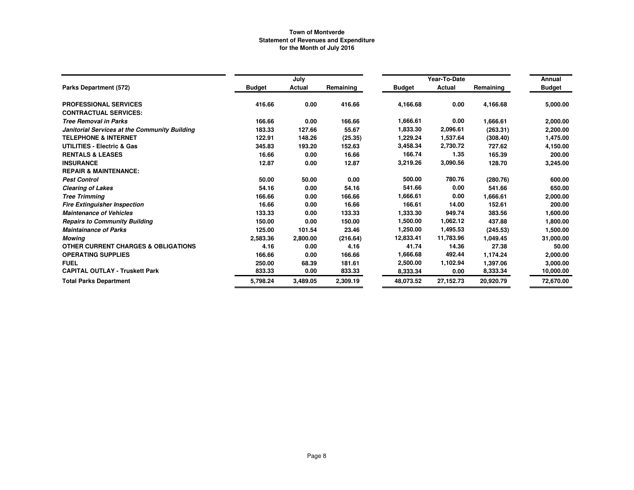|                                                |               | July     |           |               | Year-To-Date |           | Annual        |
|------------------------------------------------|---------------|----------|-----------|---------------|--------------|-----------|---------------|
| Parks Department (572)                         | <b>Budget</b> | Actual   | Remaining | <b>Budget</b> | Actual       | Remaining | <b>Budget</b> |
| <b>PROFESSIONAL SERVICES</b>                   | 416.66        | 0.00     | 416.66    | 4,166.68      | 0.00         | 4,166.68  | 5,000.00      |
| <b>CONTRACTUAL SERVICES:</b>                   |               |          |           |               |              |           |               |
| <b>Tree Removal in Parks</b>                   | 166.66        | 0.00     | 166.66    | 1,666.61      | 0.00         | 1,666.61  | 2,000.00      |
| Janitorial Services at the Community Building  | 183.33        | 127.66   | 55.67     | 1,833.30      | 2,096.61     | (263.31)  | 2,200.00      |
| <b>TELEPHONE &amp; INTERNET</b>                | 122.91        | 148.26   | (25.35)   | 1,229.24      | 1,537.64     | (308.40)  | 1,475.00      |
| <b>UTILITIES - Electric &amp; Gas</b>          | 345.83        | 193.20   | 152.63    | 3.458.34      | 2,730.72     | 727.62    | 4,150.00      |
| <b>RENTALS &amp; LEASES</b>                    | 16.66         | 0.00     | 16.66     | 166.74        | 1.35         | 165.39    | 200.00        |
| <b>INSURANCE</b>                               | 12.87         | 0.00     | 12.87     | 3,219.26      | 3,090.56     | 128.70    | 3,245.00      |
| <b>REPAIR &amp; MAINTENANCE:</b>               |               |          |           |               |              |           |               |
| <b>Pest Control</b>                            | 50.00         | 50.00    | 0.00      | 500.00        | 780.76       | (280.76)  | 600.00        |
| <b>Clearing of Lakes</b>                       | 54.16         | 0.00     | 54.16     | 541.66        | 0.00         | 541.66    | 650.00        |
| <b>Tree Trimming</b>                           | 166.66        | 0.00     | 166.66    | 1.666.61      | 0.00         | 1,666.61  | 2,000.00      |
| <b>Fire Extinguisher Inspection</b>            | 16.66         | 0.00     | 16.66     | 166.61        | 14.00        | 152.61    | 200.00        |
| <b>Maintenance of Vehicles</b>                 | 133.33        | 0.00     | 133.33    | 1,333.30      | 949.74       | 383.56    | 1,600.00      |
| <b>Repairs to Community Building</b>           | 150.00        | 0.00     | 150.00    | 1,500.00      | 1,062.12     | 437.88    | 1,800.00      |
| <b>Maintainance of Parks</b>                   | 125.00        | 101.54   | 23.46     | 1,250.00      | 1,495.53     | (245.53)  | 1,500.00      |
| <b>Mowing</b>                                  | 2,583.36      | 2,800.00 | (216.64)  | 12,833.41     | 11,783.96    | 1,049.45  | 31,000.00     |
| <b>OTHER CURRENT CHARGES &amp; OBLIGATIONS</b> | 4.16          | 0.00     | 4.16      | 41.74         | 14.36        | 27.38     | 50.00         |
| <b>OPERATING SUPPLIES</b>                      | 166.66        | 0.00     | 166.66    | 1,666.68      | 492.44       | 1,174.24  | 2,000.00      |
| <b>FUEL</b>                                    | 250.00        | 68.39    | 181.61    | 2,500.00      | 1,102.94     | 1,397.06  | 3,000.00      |
| <b>CAPITAL OUTLAY - Truskett Park</b>          | 833.33        | 0.00     | 833.33    | 8,333.34      | 0.00         | 8,333.34  | 10,000.00     |
| <b>Total Parks Department</b>                  | 5,798.24      | 3.489.05 | 2,309.19  | 48.073.52     | 27,152.73    | 20,920.79 | 72,670.00     |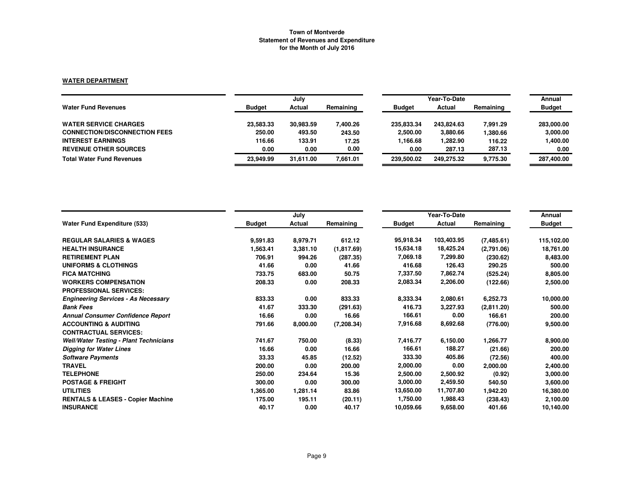### **WATER DEPARTMENT**

|                                      | July          |           |           |               | Annual     |           |               |
|--------------------------------------|---------------|-----------|-----------|---------------|------------|-----------|---------------|
| <b>Water Fund Revenues</b>           | <b>Budget</b> | Actual    | Remaining | <b>Budget</b> | Actual     | Remaining | <b>Budget</b> |
| <b>WATER SERVICE CHARGES</b>         | 23.583.33     | 30,983.59 | 400.26    | 235.833.34    | 243.824.63 | 7.991.29  | 283,000.00    |
| <b>CONNECTION/DISCONNECTION FEES</b> | 250.00        | 493.50    | 243.50    | 2,500.00      | 3,880.66   | 380.66    | 3,000.00      |
| <b>INTEREST EARNINGS</b>             | 116.66        | 133.91    | 17.25     | 1,166.68      | 1,282.90   | 116.22    | 1,400.00      |
| <b>REVENUE OTHER SOURCES</b>         | 0.00          | 0.00      | 0.00      | 0.00          | 287.13     | 287.13    | 0.00          |
| <b>Total Water Fund Revenues</b>     | 23.949.99     | 31.611.00 | 7.661.01  | 239,500.02    | 249.275.32 | 9,775.30  | 287,400.00    |

|                                               |               | July     |            |               | Year-To-Date |            | Annual        |
|-----------------------------------------------|---------------|----------|------------|---------------|--------------|------------|---------------|
| <b>Water Fund Expenditure (533)</b>           | <b>Budget</b> | Actual   | Remaining  | <b>Budget</b> | Actual       | Remaining  | <b>Budget</b> |
| <b>REGULAR SALARIES &amp; WAGES</b>           | 9,591.83      | 8,979.71 | 612.12     | 95,918.34     | 103,403.95   | (7,485.61) | 115,102.00    |
| <b>HEALTH INSURANCE</b>                       | 1,563.41      | 3,381.10 | (1,817.69) | 15,634.18     | 18,425.24    | (2,791.06) | 18,761.00     |
| <b>RETIREMENT PLAN</b>                        | 706.91        | 994.26   | (287.35)   | 7,069.18      | 7,299.80     | (230.62)   | 8,483.00      |
| UNIFORMS & CLOTHINGS                          | 41.66         | 0.00     | 41.66      | 416.68        | 126.43       | 290.25     | 500.00        |
| <b>FICA MATCHING</b>                          | 733.75        | 683.00   | 50.75      | 7,337.50      | 7,862.74     | (525.24)   | 8,805.00      |
| <b>WORKERS COMPENSATION</b>                   | 208.33        | 0.00     | 208.33     | 2,083.34      | 2,206.00     | (122.66)   | 2,500.00      |
| <b>PROFESSIONAL SERVICES:</b>                 |               |          |            |               |              |            |               |
| <b>Engineering Services - As Necessary</b>    | 833.33        | 0.00     | 833.33     | 8,333.34      | 2,080.61     | 6,252.73   | 10,000.00     |
| <b>Bank Fees</b>                              | 41.67         | 333.30   | (291.63)   | 416.73        | 3,227.93     | (2,811.20) | 500.00        |
| <b>Annual Consumer Confidence Report</b>      | 16.66         | 0.00     | 16.66      | 166.61        | 0.00         | 166.61     | 200.00        |
| <b>ACCOUNTING &amp; AUDITING</b>              | 791.66        | 8,000.00 | (7,208.34) | 7,916.68      | 8,692.68     | (776.00)   | 9,500.00      |
| <b>CONTRACTUAL SERVICES:</b>                  |               |          |            |               |              |            |               |
| <b>Well/Water Testing - Plant Technicians</b> | 741.67        | 750.00   | (8.33)     | 7,416.77      | 6,150.00     | 1,266.77   | 8,900.00      |
| <b>Digging for Water Lines</b>                | 16.66         | 0.00     | 16.66      | 166.61        | 188.27       | (21.66)    | 200.00        |
| <b>Software Payments</b>                      | 33.33         | 45.85    | (12.52)    | 333.30        | 405.86       | (72.56)    | 400.00        |
| <b>TRAVEL</b>                                 | 200.00        | 0.00     | 200.00     | 2,000.00      | 0.00         | 2,000.00   | 2,400.00      |
| <b>TELEPHONE</b>                              | 250.00        | 234.64   | 15.36      | 2,500.00      | 2,500.92     | (0.92)     | 3,000.00      |
| <b>POSTAGE &amp; FREIGHT</b>                  | 300.00        | 0.00     | 300.00     | 3,000.00      | 2,459.50     | 540.50     | 3,600.00      |
| <b>UTILITIES</b>                              | 1,365.00      | 1,281.14 | 83.86      | 13,650.00     | 11,707.80    | 1,942.20   | 16,380.00     |
| <b>RENTALS &amp; LEASES - Copier Machine</b>  | 175.00        | 195.11   | (20.11)    | 1,750.00      | 1,988.43     | (238.43)   | 2,100.00      |
| <b>INSURANCE</b>                              | 40.17         | 0.00     | 40.17      | 10.059.66     | 9,658.00     | 401.66     | 10,140.00     |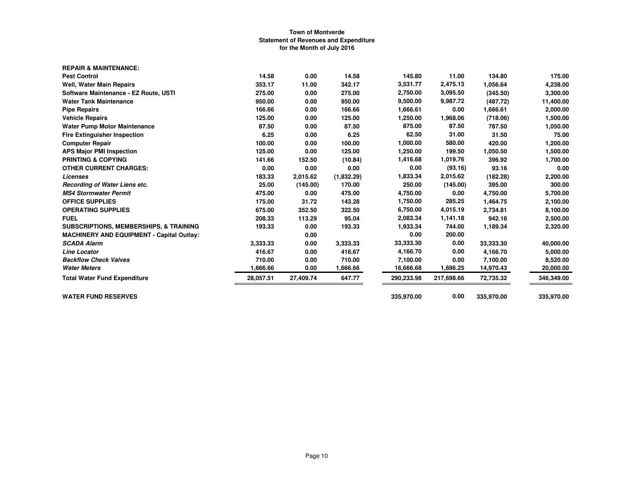| <b>REPAIR &amp; MAINTENANCE:</b>                  |           |           |            |            |            |            |            |
|---------------------------------------------------|-----------|-----------|------------|------------|------------|------------|------------|
| <b>Pest Control</b>                               | 14.58     | 0.00      | 14.58      | 145.80     | 11.00      | 134.80     | 175.00     |
| <b>Well, Water Main Repairs</b>                   | 353.17    | 11.00     | 342.17     | 3,531.77   | 2,475.13   | 1,056.64   | 4,238.00   |
| Software Maintenance - EZ Route, USTI             | 275.00    | 0.00      | 275.00     | 2,750.00   | 3,095.50   | (345.50)   | 3,300.00   |
| <b>Water Tank Maintenance</b>                     | 950.00    | 0.00      | 950.00     | 9,500.00   | 9,987.72   | (487.72)   | 11,400.00  |
| <b>Pipe Repairs</b>                               | 166.66    | 0.00      | 166.66     | 1,666.61   | 0.00       | 1,666.61   | 2,000.00   |
| <b>Vehicle Repairs</b>                            | 125.00    | 0.00      | 125.00     | 1,250.00   | 1,968.06   | (718.06)   | 1,500.00   |
| <b>Water Pump Motor Maintenance</b>               | 87.50     | 0.00      | 87.50      | 875.00     | 87.50      | 787.50     | 1,050.00   |
| <b>Fire Extinguisher Inspection</b>               | 6.25      | 0.00      | 6.25       | 62.50      | 31.00      | 31.50      | 75.00      |
| <b>Computer Repair</b>                            | 100.00    | 0.00      | 100.00     | 1,000.00   | 580.00     | 420.00     | 1,200.00   |
| <b>APS Major PMI Inspection</b>                   | 125.00    | 0.00      | 125.00     | 1,250.00   | 199.50     | 1,050.50   | 1,500.00   |
| <b>PRINTING &amp; COPYING</b>                     | 141.66    | 152.50    | (10.84)    | 1,416.68   | 1,019.76   | 396.92     | 1,700.00   |
| <b>OTHER CURRENT CHARGES:</b>                     | 0.00      | 0.00      | 0.00       | 0.00       | (93.16)    | 93.16      | 0.00       |
| Licenses                                          | 183.33    | 2,015.62  | (1,832.29) | 1,833.34   | 2,015.62   | (182.28)   | 2,200.00   |
| Recording of Water Liens etc.                     | 25.00     | (145.00)  | 170.00     | 250.00     | (145.00)   | 395.00     | 300.00     |
| <b>MS4 Stormwater Permit</b>                      | 475.00    | 0.00      | 475.00     | 4,750.00   | 0.00       | 4,750.00   | 5,700.00   |
| <b>OFFICE SUPPLIES</b>                            | 175.00    | 31.72     | 143.28     | 1,750.00   | 285.25     | 1,464.75   | 2,100.00   |
| <b>OPERATING SUPPLIES</b>                         | 675.00    | 352.50    | 322.50     | 6,750.00   | 4,015.19   | 2,734.81   | 8,100.00   |
| <b>FUEL</b>                                       | 208.33    | 113.29    | 95.04      | 2,083.34   | 1,141.18   | 942.16     | 2,500.00   |
| <b>SUBSCRIPTIONS, MEMBERSHIPS, &amp; TRAINING</b> | 193.33    | 0.00      | 193.33     | 1,933.34   | 744.00     | 1,189.34   | 2,320.00   |
| <b>MACHINERY AND EQUIPMENT - Capital Outlay:</b>  |           | 0.00      |            | 0.00       | 200.00     |            |            |
| <b>SCADA Alarm</b>                                | 3.333.33  | 0.00      | 3,333.33   | 33,333.30  | 0.00       | 33,333.30  | 40,000.00  |
| <b>Line Locator</b>                               | 416.67    | 0.00      | 416.67     | 4,166.70   | 0.00       | 4,166.70   | 5,000.00   |
| <b>Backflow Check Valves</b>                      | 710.00    | 0.00      | 710.00     | 7,100.00   | 0.00       | 7,100.00   | 8,520.00   |
| <b>Water Meters</b>                               | 1,666.66  | 0.00      | 1,666.66   | 16,666.68  | 1,696.25   | 14,970.43  | 20,000.00  |
| <b>Total Water Fund Expenditure</b>               | 28.057.51 | 27,409.74 | 647.77     | 290,233.98 | 217,698.66 | 72,735.32  | 346,349.00 |
| <b>WATER FUND RESERVES</b>                        |           |           |            | 335,970.00 | 0.00       | 335,970.00 | 335,970.00 |